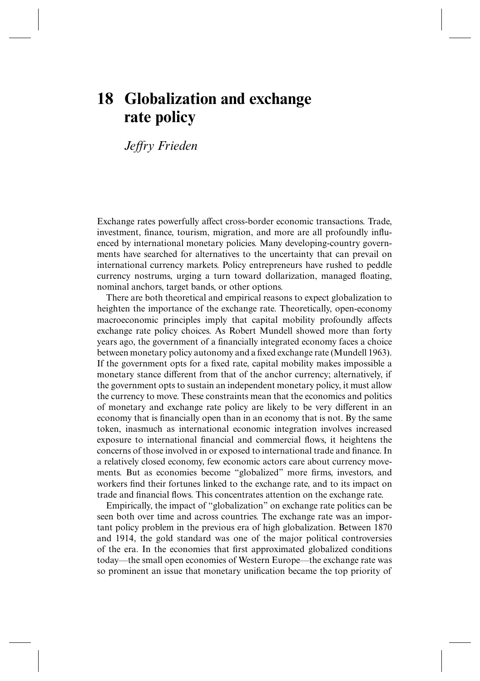# *Jeffry Frieden*

Exchange rates powerfully affect cross-border economic transactions. Trade, investment, finance, tourism, migration, and more are all profoundly influenced by international monetary policies. Many developing-country governments have searched for alternatives to the uncertainty that can prevail on international currency markets. Policy entrepreneurs have rushed to peddle currency nostrums, urging a turn toward dollarization, managed floating, nominal anchors, target bands, or other options.

There are both theoretical and empirical reasons to expect globalization to heighten the importance of the exchange rate. Theoretically, open-economy macroeconomic principles imply that capital mobility profoundly affects exchange rate policy choices. As Robert Mundell showed more than forty years ago, the government of a financially integrated economy faces a choice between monetary policy autonomy and a fixed exchange rate (Mundell 1963). If the government opts for a fixed rate, capital mobility makes impossible a monetary stance different from that of the anchor currency; alternatively, if the government opts to sustain an independent monetary policy, it must allow the currency to move. These constraints mean that the economics and politics of monetary and exchange rate policy are likely to be very different in an economy that is financially open than in an economy that is not. By the same token, inasmuch as international economic integration involves increased exposure to international financial and commercial flows, it heightens the concerns of those involved in or exposed to international trade and finance. In a relatively closed economy, few economic actors care about currency movements. But as economies become "globalized" more firms, investors, and workers find their fortunes linked to the exchange rate, and to its impact on trade and financial flows. This concentrates attention on the exchange rate.

Empirically, the impact of "globalization" on exchange rate politics can be seen both over time and across countries. The exchange rate was an important policy problem in the previous era of high globalization. Between 1870 and 1914, the gold standard was one of the major political controversies of the era. In the economies that first approximated globalized conditions today—the small open economies of Western Europe—the exchange rate was so prominent an issue that monetary unification became the top priority of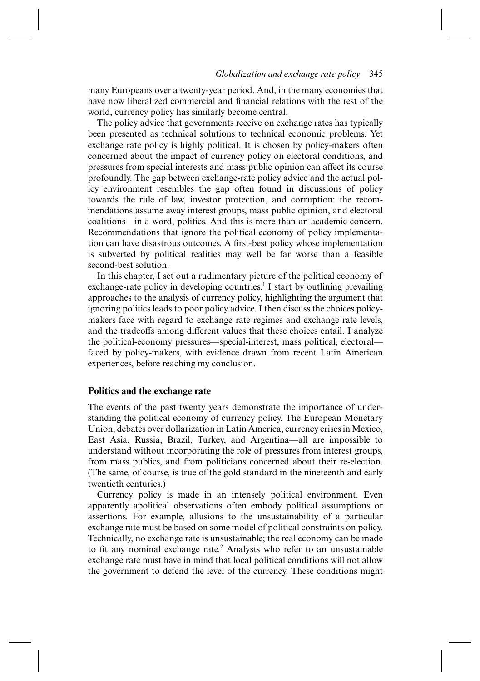many Europeans over a twenty-year period. And, in the many economies that have now liberalized commercial and financial relations with the rest of the world, currency policy has similarly become central.

The policy advice that governments receive on exchange rates has typically been presented as technical solutions to technical economic problems. Yet exchange rate policy is highly political. It is chosen by policy-makers often concerned about the impact of currency policy on electoral conditions, and pressures from special interests and mass public opinion can affect its course profoundly. The gap between exchange-rate policy advice and the actual policy environment resembles the gap often found in discussions of policy towards the rule of law, investor protection, and corruption: the recommendations assume away interest groups, mass public opinion, and electoral coalitions—in a word, politics. And this is more than an academic concern. Recommendations that ignore the political economy of policy implementation can have disastrous outcomes. A first-best policy whose implementation is subverted by political realities may well be far worse than a feasible second-best solution.

In this chapter, I set out a rudimentary picture of the political economy of exchange-rate policy in developing countries.<sup>1</sup> I start by outlining prevailing approaches to the analysis of currency policy, highlighting the argument that ignoring politics leads to poor policy advice. I then discuss the choices policymakers face with regard to exchange rate regimes and exchange rate levels, and the tradeoffs among different values that these choices entail. I analyze the political-economy pressures—special-interest, mass political, electoral faced by policy-makers, with evidence drawn from recent Latin American experiences, before reaching my conclusion.

#### **Politics and the exchange rate**

The events of the past twenty years demonstrate the importance of understanding the political economy of currency policy. The European Monetary Union, debates over dollarization in Latin America, currency crises in Mexico, East Asia, Russia, Brazil, Turkey, and Argentina—all are impossible to understand without incorporating the role of pressures from interest groups, from mass publics, and from politicians concerned about their re-election. (The same, of course, is true of the gold standard in the nineteenth and early twentieth centuries.)

Currency policy is made in an intensely political environment. Even apparently apolitical observations often embody political assumptions or assertions. For example, allusions to the unsustainability of a particular exchange rate must be based on some model of political constraints on policy. Technically, no exchange rate is unsustainable; the real economy can be made to fit any nominal exchange rate.<sup>2</sup> Analysts who refer to an unsustainable exchange rate must have in mind that local political conditions will not allow the government to defend the level of the currency. These conditions might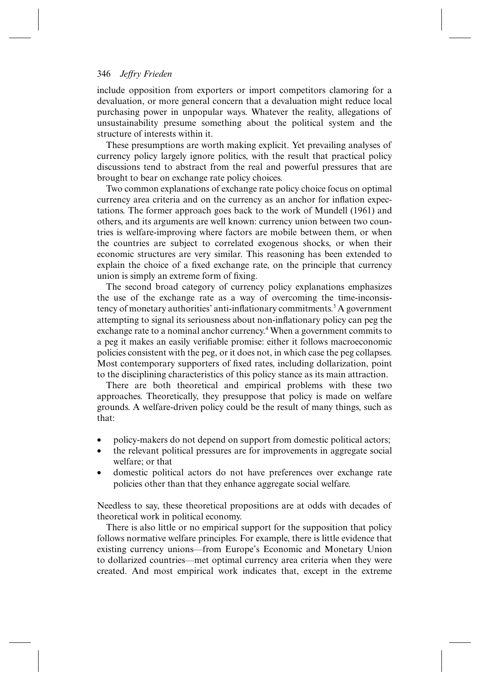include opposition from exporters or import competitors clamoring for a devaluation, or more general concern that a devaluation might reduce local purchasing power in unpopular ways. Whatever the reality, allegations of unsustainability presume something about the political system and the structure of interests within it.

These presumptions are worth making explicit. Yet prevailing analyses of currency policy largely ignore politics, with the result that practical policy discussions tend to abstract from the real and powerful pressures that are brought to bear on exchange rate policy choices.

Two common explanations of exchange rate policy choice focus on optimal currency area criteria and on the currency as an anchor for inflation expectations. The former approach goes back to the work of Mundell (1961) and others, and its arguments are well known: currency union between two countries is welfare-improving where factors are mobile between them, or when the countries are subject to correlated exogenous shocks, or when their economic structures are very similar. This reasoning has been extended to explain the choice of a fixed exchange rate, on the principle that currency union is simply an extreme form of fixing.

The second broad category of currency policy explanations emphasizes the use of the exchange rate as a way of overcoming the time-inconsistency of monetary authorities' anti-inflationary commitments.<sup>3</sup> A government attempting to signal its seriousness about non-inflationary policy can peg the exchange rate to a nominal anchor currency.<sup>4</sup> When a government commits to a peg it makes an easily verifiable promise: either it follows macroeconomic policies consistent with the peg, or it does not, in which case the peg collapses. Most contemporary supporters of fixed rates, including dollarization, point to the disciplining characteristics of this policy stance as its main attraction.

There are both theoretical and empirical problems with these two approaches. Theoretically, they presuppose that policy is made on welfare grounds. A welfare-driven policy could be the result of many things, such as that:

- policy-makers do not depend on support from domestic political actors;
- the relevant political pressures are for improvements in aggregate social welfare; or that
- domestic political actors do not have preferences over exchange rate policies other than that they enhance aggregate social welfare.

Needless to say, these theoretical propositions are at odds with decades of theoretical work in political economy.

There is also little or no empirical support for the supposition that policy follows normative welfare principles. For example, there is little evidence that existing currency unions—from Europe's Economic and Monetary Union to dollarized countries—met optimal currency area criteria when they were created. And most empirical work indicates that, except in the extreme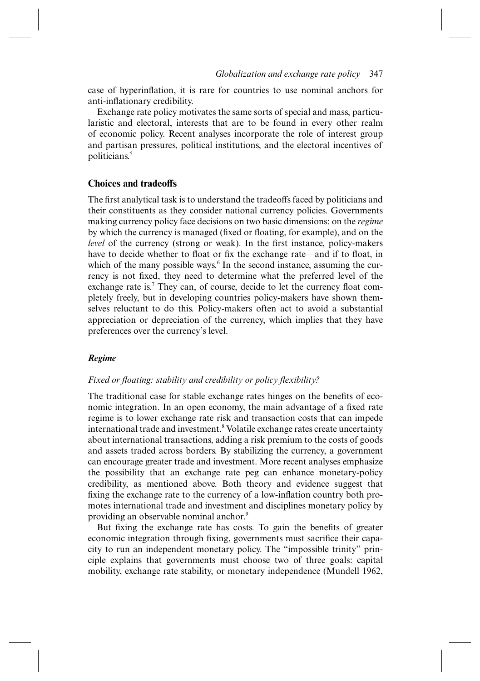case of hyperinflation, it is rare for countries to use nominal anchors for anti-inflationary credibility.

Exchange rate policy motivates the same sorts of special and mass, particularistic and electoral, interests that are to be found in every other realm of economic policy. Recent analyses incorporate the role of interest group and partisan pressures, political institutions, and the electoral incentives of politicians.5

#### **Choices and tradeoffs**

The first analytical task is to understand the tradeoffs faced by politicians and their constituents as they consider national currency policies. Governments making currency policy face decisions on two basic dimensions: on the *regime* by which the currency is managed (fixed or floating, for example), and on the *level* of the currency (strong or weak). In the first instance, policy-makers have to decide whether to float or fix the exchange rate—and if to float, in which of the many possible ways.<sup>6</sup> In the second instance, assuming the currency is not fixed, they need to determine what the preferred level of the exchange rate is.<sup>7</sup> They can, of course, decide to let the currency float completely freely, but in developing countries policy-makers have shown themselves reluctant to do this. Policy-makers often act to avoid a substantial appreciation or depreciation of the currency, which implies that they have preferences over the currency's level.

#### *Regime*

# *Fixed or floating: stability and credibility or policy flexibility?*

The traditional case for stable exchange rates hinges on the benefits of economic integration. In an open economy, the main advantage of a fixed rate regime is to lower exchange rate risk and transaction costs that can impede international trade and investment.<sup>8</sup> Volatile exchange rates create uncertainty about international transactions, adding a risk premium to the costs of goods and assets traded across borders. By stabilizing the currency, a government can encourage greater trade and investment. More recent analyses emphasize the possibility that an exchange rate peg can enhance monetary-policy credibility, as mentioned above. Both theory and evidence suggest that fixing the exchange rate to the currency of a low-inflation country both promotes international trade and investment and disciplines monetary policy by providing an observable nominal anchor.<sup>9</sup>

But fixing the exchange rate has costs. To gain the benefits of greater economic integration through fixing, governments must sacrifice their capacity to run an independent monetary policy. The "impossible trinity" principle explains that governments must choose two of three goals: capital mobility, exchange rate stability, or monetary independence (Mundell 1962,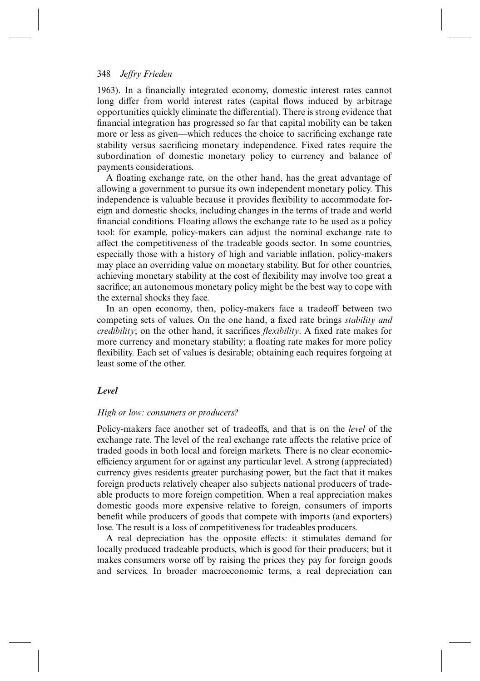1963). In a financially integrated economy, domestic interest rates cannot long differ from world interest rates (capital flows induced by arbitrage opportunities quickly eliminate the differential). There is strong evidence that financial integration has progressed so far that capital mobility can be taken more or less as given—which reduces the choice to sacrificing exchange rate stability versus sacrificing monetary independence. Fixed rates require the subordination of domestic monetary policy to currency and balance of payments considerations.

A floating exchange rate, on the other hand, has the great advantage of allowing a government to pursue its own independent monetary policy. This independence is valuable because it provides flexibility to accommodate foreign and domestic shocks, including changes in the terms of trade and world financial conditions. Floating allows the exchange rate to be used as a policy tool: for example, policy-makers can adjust the nominal exchange rate to affect the competitiveness of the tradeable goods sector. In some countries, especially those with a history of high and variable inflation, policy-makers may place an overriding value on monetary stability. But for other countries, achieving monetary stability at the cost of flexibility may involve too great a sacrifice; an autonomous monetary policy might be the best way to cope with the external shocks they face.

In an open economy, then, policy-makers face a tradeoff between two competing sets of values. On the one hand, a fixed rate brings *stability and credibility*; on the other hand, it sacrifices *flexibility*. A fixed rate makes for more currency and monetary stability; a floating rate makes for more policy flexibility. Each set of values is desirable; obtaining each requires forgoing at least some of the other.

# *Level*

#### *High or low: consumers or producers?*

Policy-makers face another set of tradeoffs, and that is on the *level* of the exchange rate. The level of the real exchange rate affects the relative price of traded goods in both local and foreign markets. There is no clear economicefficiency argument for or against any particular level. A strong (appreciated) currency gives residents greater purchasing power, but the fact that it makes foreign products relatively cheaper also subjects national producers of tradeable products to more foreign competition. When a real appreciation makes domestic goods more expensive relative to foreign, consumers of imports benefit while producers of goods that compete with imports (and exporters) lose. The result is a loss of competitiveness for tradeables producers.

A real depreciation has the opposite effects: it stimulates demand for locally produced tradeable products, which is good for their producers; but it makes consumers worse off by raising the prices they pay for foreign goods and services. In broader macroeconomic terms, a real depreciation can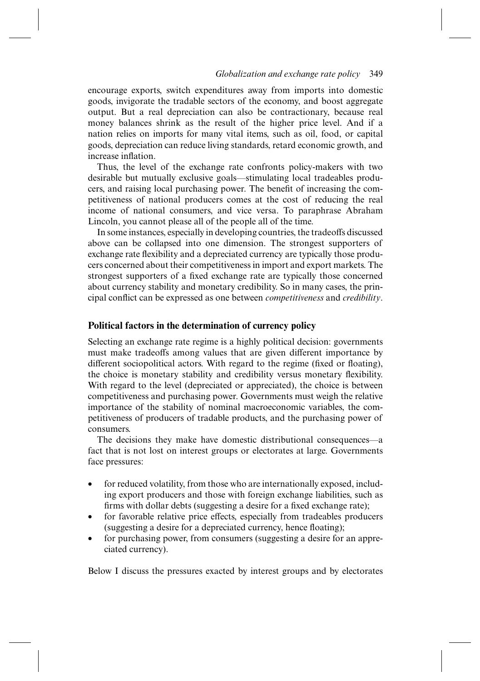encourage exports, switch expenditures away from imports into domestic goods, invigorate the tradable sectors of the economy, and boost aggregate output. But a real depreciation can also be contractionary, because real money balances shrink as the result of the higher price level. And if a nation relies on imports for many vital items, such as oil, food, or capital goods, depreciation can reduce living standards, retard economic growth, and increase inflation.

Thus, the level of the exchange rate confronts policy-makers with two desirable but mutually exclusive goals—stimulating local tradeables producers, and raising local purchasing power. The benefit of increasing the competitiveness of national producers comes at the cost of reducing the real income of national consumers, and vice versa. To paraphrase Abraham Lincoln, you cannot please all of the people all of the time.

In some instances, especially in developing countries, the tradeoffs discussed above can be collapsed into one dimension. The strongest supporters of exchange rate flexibility and a depreciated currency are typically those producers concerned about their competitiveness in import and export markets. The strongest supporters of a fixed exchange rate are typically those concerned about currency stability and monetary credibility. So in many cases, the principal conflict can be expressed as one between *competitiveness* and *credibility*.

#### **Political factors in the determination of currency policy**

Selecting an exchange rate regime is a highly political decision: governments must make tradeoffs among values that are given different importance by different sociopolitical actors. With regard to the regime (fixed or floating), the choice is monetary stability and credibility versus monetary flexibility. With regard to the level (depreciated or appreciated), the choice is between competitiveness and purchasing power. Governments must weigh the relative importance of the stability of nominal macroeconomic variables, the competitiveness of producers of tradable products, and the purchasing power of consumers.

The decisions they make have domestic distributional consequences—a fact that is not lost on interest groups or electorates at large. Governments face pressures:

- for reduced volatility, from those who are internationally exposed, including export producers and those with foreign exchange liabilities, such as firms with dollar debts (suggesting a desire for a fixed exchange rate);
- for favorable relative price effects, especially from tradeables producers (suggesting a desire for a depreciated currency, hence floating);
- for purchasing power, from consumers (suggesting a desire for an appreciated currency).

Below I discuss the pressures exacted by interest groups and by electorates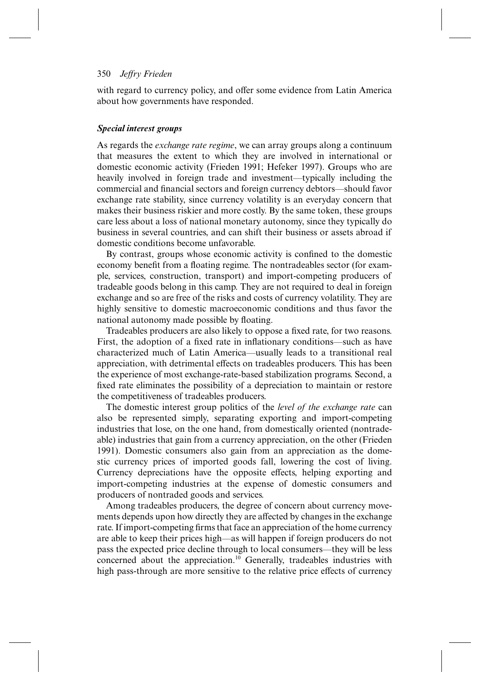with regard to currency policy, and offer some evidence from Latin America about how governments have responded.

#### *Special interest groups*

As regards the *exchange rate regime*, we can array groups along a continuum that measures the extent to which they are involved in international or domestic economic activity (Frieden 1991; Hefeker 1997). Groups who are heavily involved in foreign trade and investment—typically including the commercial and financial sectors and foreign currency debtors—should favor exchange rate stability, since currency volatility is an everyday concern that makes their business riskier and more costly. By the same token, these groups care less about a loss of national monetary autonomy, since they typically do business in several countries, and can shift their business or assets abroad if domestic conditions become unfavorable.

By contrast, groups whose economic activity is confined to the domestic economy benefit from a floating regime. The nontradeables sector (for example, services, construction, transport) and import-competing producers of tradeable goods belong in this camp. They are not required to deal in foreign exchange and so are free of the risks and costs of currency volatility. They are highly sensitive to domestic macroeconomic conditions and thus favor the national autonomy made possible by floating.

Tradeables producers are also likely to oppose a fixed rate, for two reasons. First, the adoption of a fixed rate in inflationary conditions—such as have characterized much of Latin America—usually leads to a transitional real appreciation, with detrimental effects on tradeables producers. This has been the experience of most exchange-rate-based stabilization programs. Second, a fixed rate eliminates the possibility of a depreciation to maintain or restore the competitiveness of tradeables producers.

The domestic interest group politics of the *level of the exchange rate* can also be represented simply, separating exporting and import-competing industries that lose, on the one hand, from domestically oriented (nontradeable) industries that gain from a currency appreciation, on the other (Frieden 1991). Domestic consumers also gain from an appreciation as the domestic currency prices of imported goods fall, lowering the cost of living. Currency depreciations have the opposite effects, helping exporting and import-competing industries at the expense of domestic consumers and producers of nontraded goods and services.

Among tradeables producers, the degree of concern about currency movements depends upon how directly they are affected by changes in the exchange rate. If import-competing firms that face an appreciation of the home currency are able to keep their prices high—as will happen if foreign producers do not pass the expected price decline through to local consumers—they will be less concerned about the appreciation.<sup>10</sup> Generally, tradeables industries with high pass-through are more sensitive to the relative price effects of currency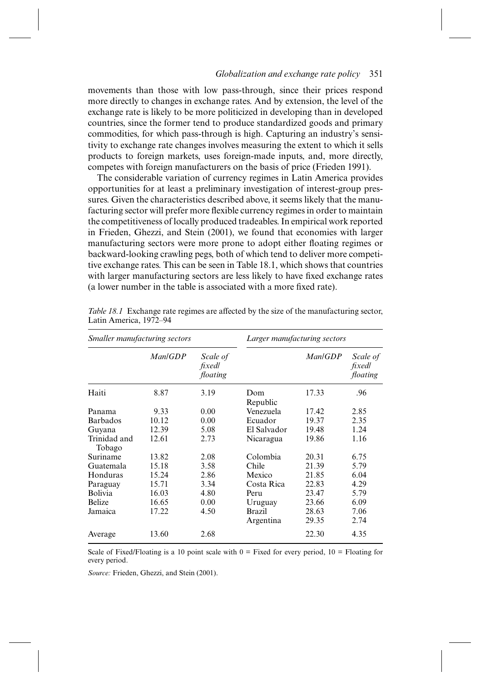movements than those with low pass-through, since their prices respond more directly to changes in exchange rates. And by extension, the level of the exchange rate is likely to be more politicized in developing than in developed countries, since the former tend to produce standardized goods and primary commodities, for which pass-through is high. Capturing an industry's sensitivity to exchange rate changes involves measuring the extent to which it sells products to foreign markets, uses foreign-made inputs, and, more directly, competes with foreign manufacturers on the basis of price (Frieden 1991).

The considerable variation of currency regimes in Latin America provides opportunities for at least a preliminary investigation of interest-group pressures. Given the characteristics described above, it seems likely that the manufacturing sector will prefer more flexible currency regimes in order to maintain the competitiveness of locally produced tradeables. In empirical work reported in Frieden, Ghezzi, and Stein (2001), we found that economies with larger manufacturing sectors were more prone to adopt either floating regimes or backward-looking crawling pegs, both of which tend to deliver more competitive exchange rates. This can be seen in Table 18.1, which shows that countries with larger manufacturing sectors are less likely to have fixed exchange rates (a lower number in the table is associated with a more fixed rate).

| Smaller manufacturing sectors |          |                                | Larger manufacturing sectors |         |                                |
|-------------------------------|----------|--------------------------------|------------------------------|---------|--------------------------------|
|                               | Man(GDP) | Scale of<br>fixedl<br>floating |                              | Man/GDP | Scale of<br>fixedl<br>floating |
| Haiti                         | 8.87     | 3.19                           | Dom<br>Republic              | 17.33   | .96                            |
| Panama                        | 9.33     | 0.00                           | Venezuela                    | 17.42   | 2.85                           |
| <b>Barbados</b>               | 10.12    | 0.00                           | Ecuador                      | 19.37   | 2.35                           |
| Guyana                        | 12.39    | 5.08                           | El Salvador                  | 19.48   | 1.24                           |
| Trinidad and<br>Tobago        | 12.61    | 2.73                           | Nicaragua                    | 19.86   | 1.16                           |
| Suriname                      | 13.82    | 2.08                           | Colombia                     | 20.31   | 6.75                           |
| Guatemala                     | 15.18    | 3.58                           | Chile                        | 21.39   | 5.79                           |
| Honduras                      | 15.24    | 2.86                           | Mexico                       | 21.85   | 6.04                           |
| Paraguay                      | 15.71    | 3.34                           | Costa Rica                   | 22.83   | 4.29                           |
| <b>Bolivia</b>                | 16.03    | 4.80                           | Peru                         | 23.47   | 5.79                           |
| <b>Belize</b>                 | 16.65    | 0.00                           | Uruguay                      | 23.66   | 6.09                           |
| Jamaica                       | 17.22    | 4.50                           | <b>Brazil</b>                | 28.63   | 7.06                           |
|                               |          |                                | Argentina                    | 29.35   | 2.74                           |
| Average                       | 13.60    | 2.68                           |                              | 22.30   | 4.35                           |

*Table 18.1* Exchange rate regimes are affected by the size of the manufacturing sector, Latin America, 1972–94

Scale of Fixed/Floating is a 10 point scale with  $0 =$  Fixed for every period,  $10 =$  Floating for every period.

*Source:* Frieden, Ghezzi, and Stein (2001).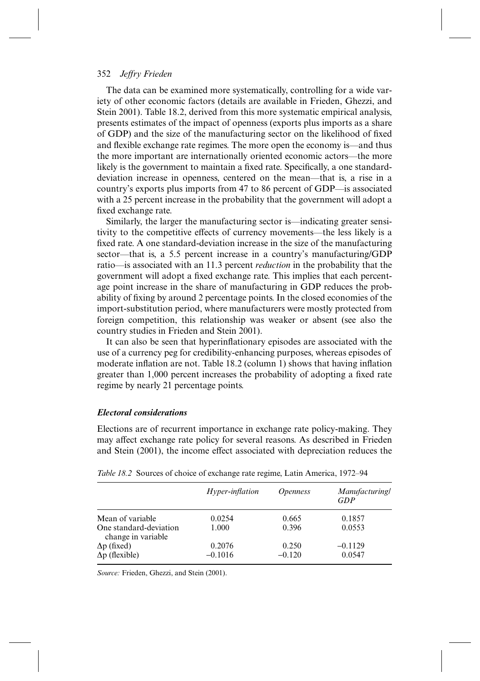The data can be examined more systematically, controlling for a wide variety of other economic factors (details are available in Frieden, Ghezzi, and Stein 2001). Table 18.2, derived from this more systematic empirical analysis, presents estimates of the impact of openness (exports plus imports as a share of GDP) and the size of the manufacturing sector on the likelihood of fixed and flexible exchange rate regimes. The more open the economy is—and thus the more important are internationally oriented economic actors—the more likely is the government to maintain a fixed rate. Specifically, a one standarddeviation increase in openness, centered on the mean—that is, a rise in a country's exports plus imports from 47 to 86 percent of GDP—is associated with a 25 percent increase in the probability that the government will adopt a fixed exchange rate.

Similarly, the larger the manufacturing sector is—indicating greater sensitivity to the competitive effects of currency movements—the less likely is a fixed rate. A one standard-deviation increase in the size of the manufacturing sector—that is, a 5.5 percent increase in a country's manufacturing/GDP ratio—is associated with an 11.3 percent *reduction* in the probability that the government will adopt a fixed exchange rate. This implies that each percentage point increase in the share of manufacturing in GDP reduces the probability of fixing by around 2 percentage points. In the closed economies of the import-substitution period, where manufacturers were mostly protected from foreign competition, this relationship was weaker or absent (see also the country studies in Frieden and Stein 2001).

It can also be seen that hyperinflationary episodes are associated with the use of a currency peg for credibility-enhancing purposes, whereas episodes of moderate inflation are not. Table 18.2 (column 1) shows that having inflation greater than 1,000 percent increases the probability of adopting a fixed rate regime by nearly 21 percentage points.

#### *Electoral considerations*

Elections are of recurrent importance in exchange rate policy-making. They may affect exchange rate policy for several reasons. As described in Frieden and Stein (2001), the income effect associated with depreciation reduces the

|                                              | Hyper-inflation | <i><b>Openness</b></i> | <i>Manufacturing</i><br><b>GDP</b> |
|----------------------------------------------|-----------------|------------------------|------------------------------------|
| Mean of variable                             | 0.0254          | 0.665                  | 0.1857                             |
| One standard-deviation<br>change in variable | 1.000           | 0.396                  | 0.0553                             |
| $\Delta p$ (fixed)                           | 0.2076          | 0.250                  | $-0.1129$                          |
| $\Delta p$ (flexible)                        | $-0.1016$       | $-0.120$               | 0.0547                             |

*Table 18.2* Sources of choice of exchange rate regime, Latin America, 1972–94

*Source:* Frieden, Ghezzi, and Stein (2001).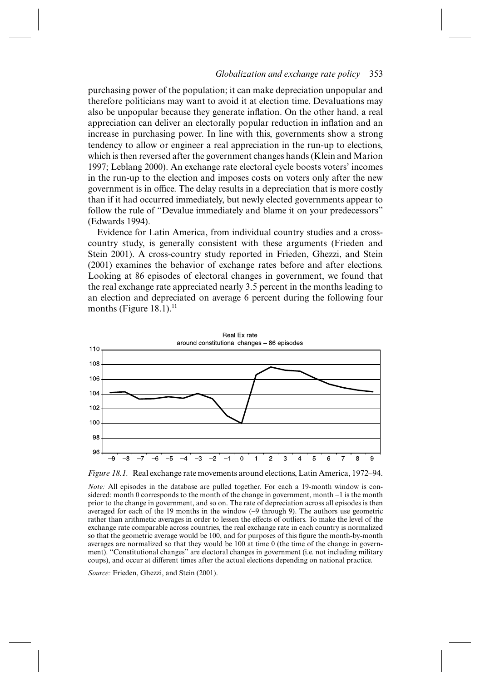purchasing power of the population; it can make depreciation unpopular and therefore politicians may want to avoid it at election time. Devaluations may also be unpopular because they generate inflation. On the other hand, a real appreciation can deliver an electorally popular reduction in inflation and an increase in purchasing power. In line with this, governments show a strong tendency to allow or engineer a real appreciation in the run-up to elections, which is then reversed after the government changes hands (Klein and Marion 1997; Leblang 2000). An exchange rate electoral cycle boosts voters' incomes in the run-up to the election and imposes costs on voters only after the new government is in office. The delay results in a depreciation that is more costly than if it had occurred immediately, but newly elected governments appear to follow the rule of "Devalue immediately and blame it on your predecessors" (Edwards 1994).

Evidence for Latin America, from individual country studies and a crosscountry study, is generally consistent with these arguments (Frieden and Stein 2001). A cross-country study reported in Frieden, Ghezzi, and Stein (2001) examines the behavior of exchange rates before and after elections. Looking at 86 episodes of electoral changes in government, we found that the real exchange rate appreciated nearly 3.5 percent in the months leading to an election and depreciated on average 6 percent during the following four months (Figure 18.1).<sup>11</sup>



*Figure 18.1.* Real exchange rate movements around elections, Latin America, 1972–94.

*Note:* All episodes in the database are pulled together. For each a 19-month window is considered: month 0 corresponds to the month of the change in government, month −1 is the month prior to the change in government, and so on. The rate of depreciation across all episodes is then averaged for each of the 19 months in the window (−9 through 9). The authors use geometric rather than arithmetic averages in order to lessen the effects of outliers. To make the level of the exchange rate comparable across countries, the real exchange rate in each country is normalized so that the geometric average would be 100, and for purposes of this figure the month-by-month averages are normalized so that they would be 100 at time 0 (the time of the change in government). "Constitutional changes" are electoral changes in government (i.e. not including military coups), and occur at different times after the actual elections depending on national practice.

*Source:* Frieden, Ghezzi, and Stein (2001).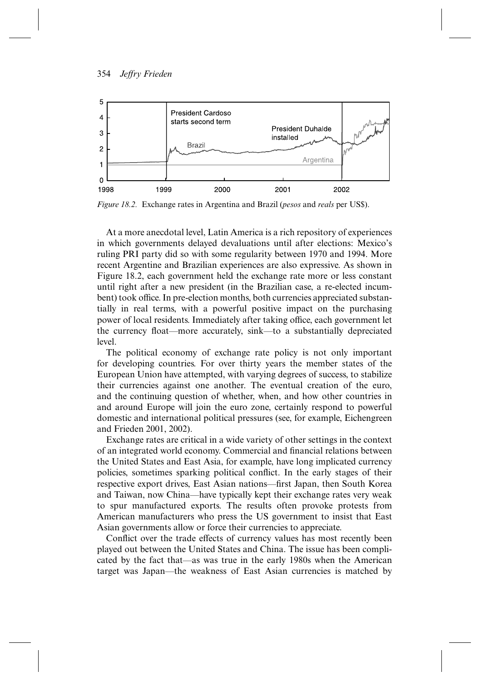

*Figure 18.2.* Exchange rates in Argentina and Brazil (*pesos* and *reals* per US\$).

At a more anecdotal level, Latin America is a rich repository of experiences in which governments delayed devaluations until after elections: Mexico's ruling PRI party did so with some regularity between 1970 and 1994. More recent Argentine and Brazilian experiences are also expressive. As shown in Figure 18.2, each government held the exchange rate more or less constant until right after a new president (in the Brazilian case, a re-elected incumbent) took office. In pre-election months, both currencies appreciated substantially in real terms, with a powerful positive impact on the purchasing power of local residents. Immediately after taking office, each government let the currency float—more accurately, sink—to a substantially depreciated level.

The political economy of exchange rate policy is not only important for developing countries. For over thirty years the member states of the European Union have attempted, with varying degrees of success, to stabilize their currencies against one another. The eventual creation of the euro, and the continuing question of whether, when, and how other countries in and around Europe will join the euro zone, certainly respond to powerful domestic and international political pressures (see, for example, Eichengreen and Frieden 2001, 2002).

Exchange rates are critical in a wide variety of other settings in the context of an integrated world economy. Commercial and financial relations between the United States and East Asia, for example, have long implicated currency policies, sometimes sparking political conflict. In the early stages of their respective export drives, East Asian nations—first Japan, then South Korea and Taiwan, now China—have typically kept their exchange rates very weak to spur manufactured exports. The results often provoke protests from American manufacturers who press the US government to insist that East Asian governments allow or force their currencies to appreciate.

Conflict over the trade effects of currency values has most recently been played out between the United States and China. The issue has been complicated by the fact that—as was true in the early 1980s when the American target was Japan—the weakness of East Asian currencies is matched by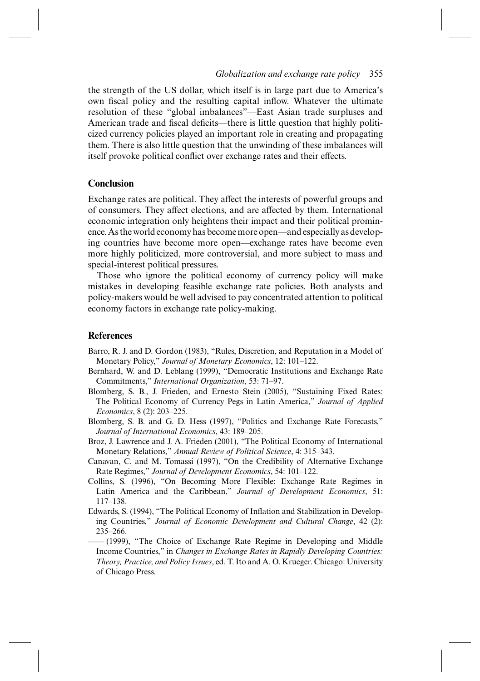the strength of the US dollar, which itself is in large part due to America's own fiscal policy and the resulting capital inflow. Whatever the ultimate resolution of these "global imbalances"—East Asian trade surpluses and American trade and fiscal deficits—there is little question that highly politicized currency policies played an important role in creating and propagating them. There is also little question that the unwinding of these imbalances will itself provoke political conflict over exchange rates and their effects.

# **Conclusion**

Exchange rates are political. They affect the interests of powerful groups and of consumers. They affect elections, and are affected by them. International economic integration only heightens their impact and their political prominence. As the world economy has become more open—and especially as developing countries have become more open—exchange rates have become even more highly politicized, more controversial, and more subject to mass and special-interest political pressures.

Those who ignore the political economy of currency policy will make mistakes in developing feasible exchange rate policies. Both analysts and policy-makers would be well advised to pay concentrated attention to political economy factors in exchange rate policy-making.

#### **References**

- Barro, R. J. and D. Gordon (1983), "Rules, Discretion, and Reputation in a Model of Monetary Policy," *Journal of Monetary Economics*, 12: 101–122.
- Bernhard, W. and D. Leblang (1999), "Democratic Institutions and Exchange Rate Commitments," *International Organization*, 53: 71–97.
- Blomberg, S. B., J. Frieden, and Ernesto Stein (2005), "Sustaining Fixed Rates: The Political Economy of Currency Pegs in Latin America," *Journal of Applied Economics*, 8 (2): 203–225.
- Blomberg, S. B. and G. D. Hess (1997), "Politics and Exchange Rate Forecasts," *Journal of International Economics*, 43: 189–205.
- Broz, J. Lawrence and J. A. Frieden (2001), "The Political Economy of International Monetary Relations," *Annual Review of Political Science*, 4: 315–343.
- Canavan, C. and M. Tomassi (1997), "On the Credibility of Alternative Exchange Rate Regimes," *Journal of Development Economics*, 54: 101–122.
- Collins, S. (1996), "On Becoming More Flexible: Exchange Rate Regimes in Latin America and the Caribbean," *Journal of Development Economics*, 51: 117–138.
- Edwards, S. (1994), "The Political Economy of Inflation and Stabilization in Developing Countries," *Journal of Economic Development and Cultural Change*, 42 (2): 235–266.
- $-(1999)$ , "The Choice of Exchange Rate Regime in Developing and Middle Income Countries," in *Changes in Exchange Rates in Rapidly Developing Countries: Theory, Practice, and Policy Issues*, ed. T. Ito and A. O. Krueger. Chicago: University of Chicago Press.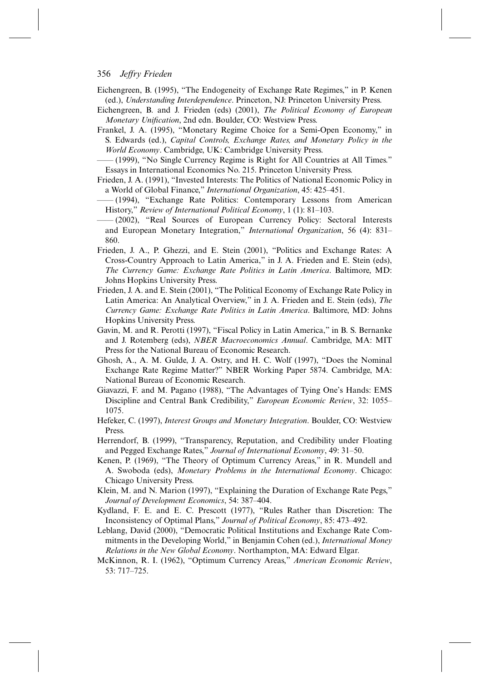- Eichengreen, B. (1995), "The Endogeneity of Exchange Rate Regimes," in P. Kenen (ed.), *Understanding Interdependence*. Princeton, NJ: Princeton University Press.
- Eichengreen, B. and J. Frieden (eds) (2001), *The Political Economy of European Monetary Unification*, 2nd edn. Boulder, CO: Westview Press.
- Frankel, J. A. (1995), "Monetary Regime Choice for a Semi-Open Economy," in S. Edwards (ed.), *Capital Controls, Exchange Rates, and Monetary Policy in the World Economy*. Cambridge, UK: Cambridge University Press.
- (1999), "No Single Currency Regime is Right for All Countries at All Times." Essays in International Economics No. 215. Princeton University Press.
- Frieden, J. A. (1991), "Invested Interests: The Politics of National Economic Policy in a World of Global Finance," *International Organization*, 45: 425–451.
- -(1994), "Exchange Rate Politics: Contemporary Lessons from American History," *Review of International Political Economy*, 1 (1): 81–103.
- —— (2002), "Real Sources of European Currency Policy: Sectoral Interests and European Monetary Integration," *International Organization*, 56 (4): 831– 860.
- Frieden, J. A., P. Ghezzi, and E. Stein (2001), "Politics and Exchange Rates: A Cross-Country Approach to Latin America," in J. A. Frieden and E. Stein (eds), *The Currency Game: Exchange Rate Politics in Latin America*. Baltimore, MD: Johns Hopkins University Press.
- Frieden, J. A. and E. Stein (2001), "The Political Economy of Exchange Rate Policy in Latin America: An Analytical Overview," in J. A. Frieden and E. Stein (eds), *The Currency Game: Exchange Rate Politics in Latin America*. Baltimore, MD: Johns Hopkins University Press.
- Gavin, M. and R. Perotti (1997), "Fiscal Policy in Latin America," in B. S. Bernanke and J. Rotemberg (eds), *NBER Macroeconomics Annual*. Cambridge, MA: MIT Press for the National Bureau of Economic Research.
- Ghosh, A., A. M. Gulde, J. A. Ostry, and H. C. Wolf (1997), "Does the Nominal Exchange Rate Regime Matter?" NBER Working Paper 5874. Cambridge, MA: National Bureau of Economic Research.
- Giavazzi, F. and M. Pagano (1988), "The Advantages of Tying One's Hands: EMS Discipline and Central Bank Credibility," *European Economic Review*, 32: 1055– 1075.
- Hefeker, C. (1997), *Interest Groups and Monetary Integration*. Boulder, CO: Westview Press.
- Herrendorf, B. (1999), "Transparency, Reputation, and Credibility under Floating and Pegged Exchange Rates," *Journal of International Economy*, 49: 31–50.
- Kenen, P. (1969), "The Theory of Optimum Currency Areas," in R. Mundell and A. Swoboda (eds), *Monetary Problems in the International Economy*. Chicago: Chicago University Press.
- Klein, M. and N. Marion (1997), "Explaining the Duration of Exchange Rate Pegs," *Journal of Development Economics*, 54: 387–404.
- Kydland, F. E. and E. C. Prescott (1977), "Rules Rather than Discretion: The Inconsistency of Optimal Plans," *Journal of Political Economy*, 85: 473–492.
- Leblang, David (2000), "Democratic Political Institutions and Exchange Rate Commitments in the Developing World," in Benjamin Cohen (ed.), *International Money Relations in the New Global Economy*. Northampton, MA: Edward Elgar.
- McKinnon, R. I. (1962), "Optimum Currency Areas," *American Economic Review*, 53: 717–725.